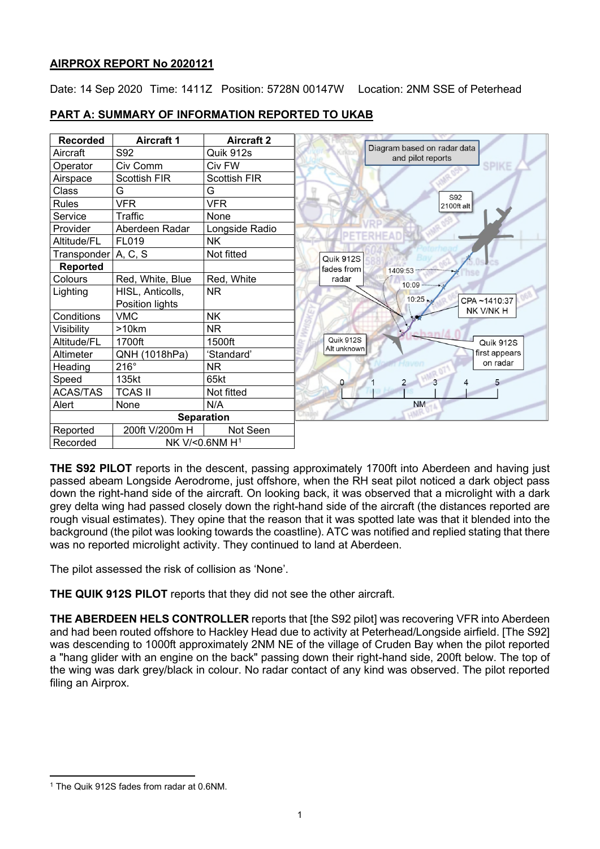# **AIRPROX REPORT No 2020121**

Date: 14 Sep 2020 Time: 1411Z Position: 5728N 00147W Location: 2NM SSE of Peterhead

| <b>Recorded</b>                        | <b>Aircraft 1</b>   | <b>Aircraft 2</b>   |                                                  |
|----------------------------------------|---------------------|---------------------|--------------------------------------------------|
| Aircraft                               | S92                 | Quik 912s           | Diagram based on radar data<br>and pilot reports |
| Operator                               | Civ Comm            | Civ FW              | <b>SPIKE</b>                                     |
| Airspace                               | <b>Scottish FIR</b> | <b>Scottish FIR</b> |                                                  |
| Class                                  | G                   | G                   | S92                                              |
| <b>Rules</b>                           | <b>VFR</b>          | <b>VFR</b>          | 2100ft alt                                       |
| Service                                | Traffic             | None                |                                                  |
| Provider                               | Aberdeen Radar      | Longside Radio      |                                                  |
| Altitude/FL                            | FL019               | <b>NK</b>           |                                                  |
| Transponder A, C, S                    |                     | Not fitted          | Quik 912S                                        |
| <b>Reported</b>                        |                     |                     | fades from<br>1409:53                            |
| Colours                                | Red, White, Blue    | Red, White          | radar<br>$10:09 -$                               |
| Lighting                               | HISL, Anticolls,    | <b>NR</b>           |                                                  |
|                                        | Position lights     |                     | 10:25<br>CPA~1410:37<br>NK V/NK H                |
| Conditions                             | <b>VMC</b>          | <b>NK</b>           |                                                  |
| Visibility                             | >10km               | <b>NR</b>           |                                                  |
| Altitude/FL                            | 1700ft              | 1500ft              | Quik 912S<br>Quik 912S<br>Alt unknown            |
| Altimeter                              | QNH (1018hPa)       | 'Standard'          | first appears                                    |
| Heading                                | $216^\circ$         | <b>NR</b>           | on radar                                         |
| Speed                                  | 135kt               | 65kt                | $\overline{2}$<br>۵                              |
| <b>ACAS/TAS</b>                        | <b>TCAS II</b>      | Not fitted          |                                                  |
| Alert                                  | None                | N/A                 | <b>NM</b>                                        |
|                                        |                     | <b>Separation</b>   |                                                  |
| Reported                               | 200ft V/200m H      | Not Seen            |                                                  |
| NK V/<0.6NM H <sup>1</sup><br>Recorded |                     |                     |                                                  |

# **PART A: SUMMARY OF INFORMATION REPORTED TO UKAB**

**THE S92 PILOT** reports in the descent, passing approximately 1700ft into Aberdeen and having just passed abeam Longside Aerodrome, just offshore, when the RH seat pilot noticed a dark object pass down the right-hand side of the aircraft. On looking back, it was observed that a microlight with a dark grey delta wing had passed closely down the right-hand side of the aircraft (the distances reported are rough visual estimates). They opine that the reason that it was spotted late was that it blended into the background (the pilot was looking towards the coastline). ATC was notified and replied stating that there was no reported microlight activity. They continued to land at Aberdeen.

The pilot assessed the risk of collision as 'None'.

**THE QUIK 912S PILOT** reports that they did not see the other aircraft.

**THE ABERDEEN HELS CONTROLLER** reports that [the S92 pilot] was recovering VFR into Aberdeen and had been routed offshore to Hackley Head due to activity at Peterhead/Longside airfield. [The S92] was descending to 1000ft approximately 2NM NE of the village of Cruden Bay when the pilot reported a "hang glider with an engine on the back" passing down their right-hand side, 200ft below. The top of the wing was dark grey/black in colour. No radar contact of any kind was observed. The pilot reported filing an Airprox.

<span id="page-0-0"></span><sup>&</sup>lt;sup>1</sup> The Quik 912S fades from radar at 0.6NM.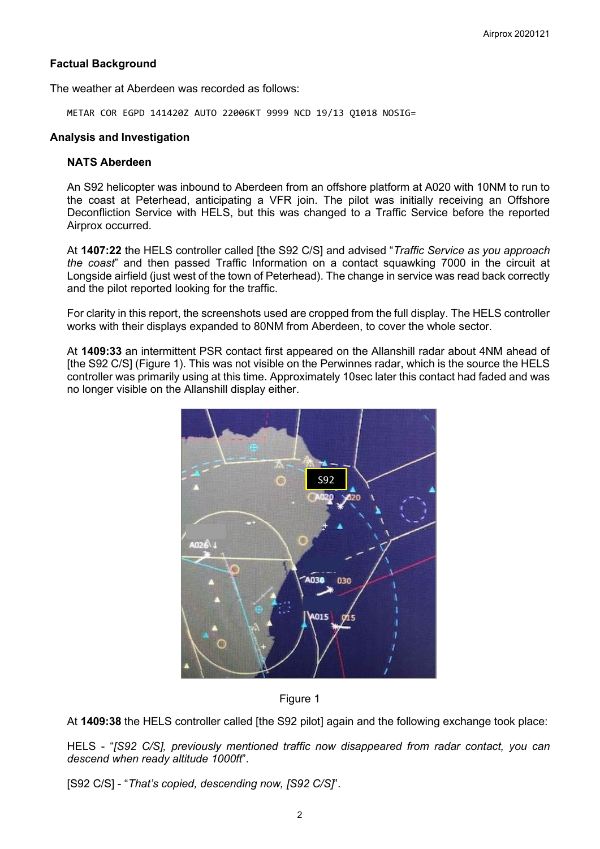### **Factual Background**

The weather at Aberdeen was recorded as follows:

METAR COR EGPD 141420Z AUTO 22006KT 9999 NCD 19/13 Q1018 NOSIG=

#### **Analysis and Investigation**

# **NATS Aberdeen**

An S92 helicopter was inbound to Aberdeen from an offshore platform at A020 with 10NM to run to the coast at Peterhead, anticipating a VFR join. The pilot was initially receiving an Offshore Deconfliction Service with HELS, but this was changed to a Traffic Service before the reported Airprox occurred.

At **1407:22** the HELS controller called [the S92 C/S] and advised "*Traffic Service as you approach the coast*" and then passed Traffic Information on a contact squawking 7000 in the circuit at Longside airfield (just west of the town of Peterhead). The change in service was read back correctly and the pilot reported looking for the traffic.

For clarity in this report, the screenshots used are cropped from the full display. The HELS controller works with their displays expanded to 80NM from Aberdeen, to cover the whole sector.

At **1409:33** an intermittent PSR contact first appeared on the Allanshill radar about 4NM ahead of [the S92 C/S] (Figure 1). This was not visible on the Perwinnes radar, which is the source the HELS controller was primarily using at this time. Approximately 10sec later this contact had faded and was no longer visible on the Allanshill display either.





At **1409:38** the HELS controller called [the S92 pilot] again and the following exchange took place:

HELS - "*[S92 C/S], previously mentioned traffic now disappeared from radar contact, you can descend when ready altitude 1000ft*".

[S92 C/S] - "*That's copied, descending now, [S92 C/S]*".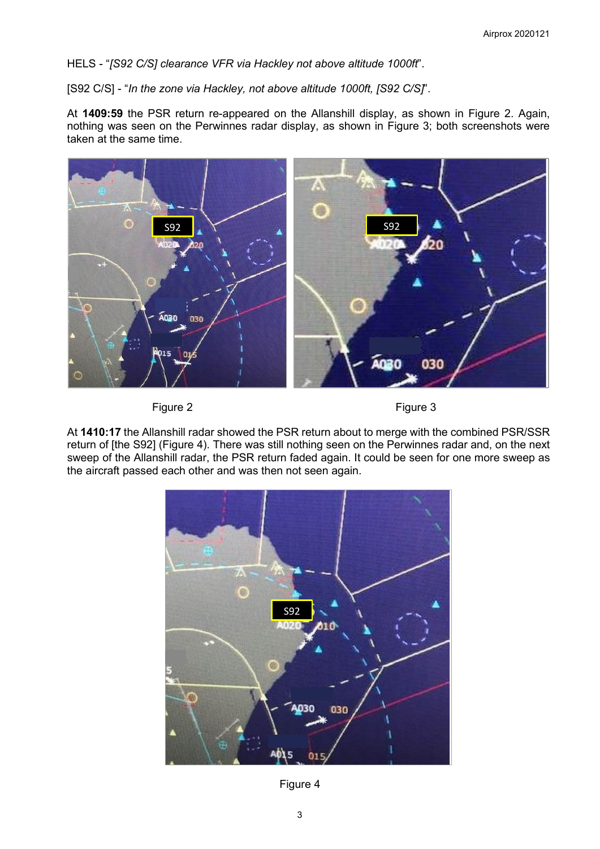HELS - "*[S92 C/S] clearance VFR via Hackley not above altitude 1000ft*".

[S92 C/S] - "*In the zone via Hackley, not above altitude 1000ft, [S92 C/S]*".

At **1409:59** the PSR return re-appeared on the Allanshill display, as shown in Figure 2. Again, nothing was seen on the Perwinnes radar display, as shown in Figure 3; both screenshots were taken at the same time.



Figure 2 **Figure 3** 

At **1410:17** the Allanshill radar showed the PSR return about to merge with the combined PSR/SSR return of [the S92] (Figure 4). There was still nothing seen on the Perwinnes radar and, on the next sweep of the Allanshill radar, the PSR return faded again. It could be seen for one more sweep as the aircraft passed each other and was then not seen again.



Figure 4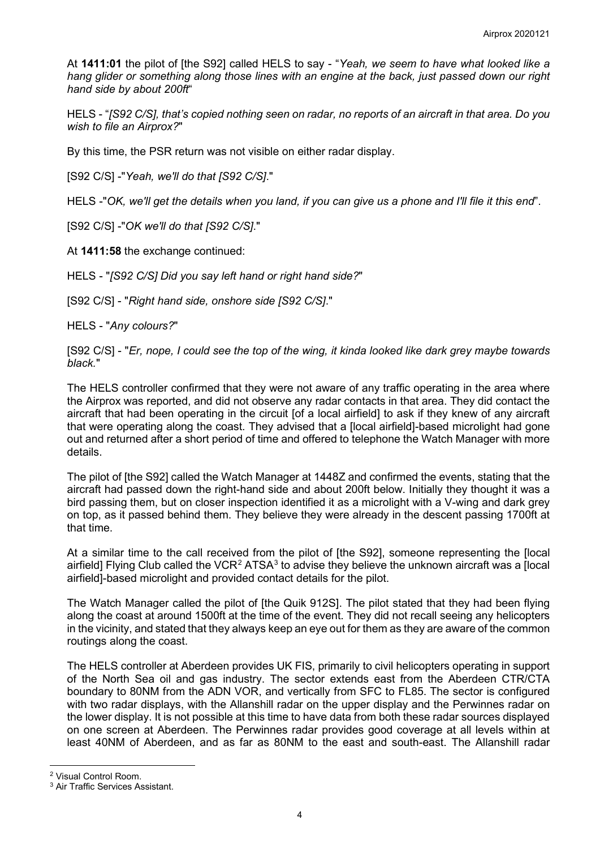At **1411:01** the pilot of [the S92] called HELS to say - "*Yeah, we seem to have what looked like a hang glider or something along those lines with an engine at the back, just passed down our right hand side by about 200ft*"

HELS - "*[S92 C/S], that's copied nothing seen on radar, no reports of an aircraft in that area. Do you wish to file an Airprox?*"

By this time, the PSR return was not visible on either radar display.

[S92 C/S] -"*Yeah, we'll do that [S92 C/S]*."

HELS -"*OK, we'll get the details when you land, if you can give us a phone and I'll file it this end*".

[S92 C/S] -"*OK we'll do that [S92 C/S]*."

At **1411:58** the exchange continued:

HELS - "*[S92 C/S] Did you say left hand or right hand side?*"

[S92 C/S] - "*Right hand side, onshore side [S92 C/S]*."

HELS - "*Any colours?*"

[S92 C/S] - "*Er, nope, I could see the top of the wing, it kinda looked like dark grey maybe towards black.*"

The HELS controller confirmed that they were not aware of any traffic operating in the area where the Airprox was reported, and did not observe any radar contacts in that area. They did contact the aircraft that had been operating in the circuit [of a local airfield] to ask if they knew of any aircraft that were operating along the coast. They advised that a [local airfield]-based microlight had gone out and returned after a short period of time and offered to telephone the Watch Manager with more details.

The pilot of [the S92] called the Watch Manager at 1448Z and confirmed the events, stating that the aircraft had passed down the right-hand side and about 200ft below. Initially they thought it was a bird passing them, but on closer inspection identified it as a microlight with a V-wing and dark grey on top, as it passed behind them. They believe they were already in the descent passing 1700ft at that time.

At a similar time to the call received from the pilot of [the S92], someone representing the [local airfield] Flying Club called the VCR<sup>[2](#page-3-0)</sup> ATSA<sup>[3](#page-3-1)</sup> to advise they believe the unknown aircraft was a [local] airfield]-based microlight and provided contact details for the pilot.

The Watch Manager called the pilot of [the Quik 912S]. The pilot stated that they had been flying along the coast at around 1500ft at the time of the event. They did not recall seeing any helicopters in the vicinity, and stated that they always keep an eye out for them as they are aware of the common routings along the coast.

The HELS controller at Aberdeen provides UK FIS, primarily to civil helicopters operating in support of the North Sea oil and gas industry. The sector extends east from the Aberdeen CTR/CTA boundary to 80NM from the ADN VOR, and vertically from SFC to FL85. The sector is configured with two radar displays, with the Allanshill radar on the upper display and the Perwinnes radar on the lower display. It is not possible at this time to have data from both these radar sources displayed on one screen at Aberdeen. The Perwinnes radar provides good coverage at all levels within at least 40NM of Aberdeen, and as far as 80NM to the east and south-east. The Allanshill radar

<span id="page-3-0"></span><sup>2</sup> Visual Control Room.

<span id="page-3-1"></span><sup>3</sup> Air Traffic Services Assistant.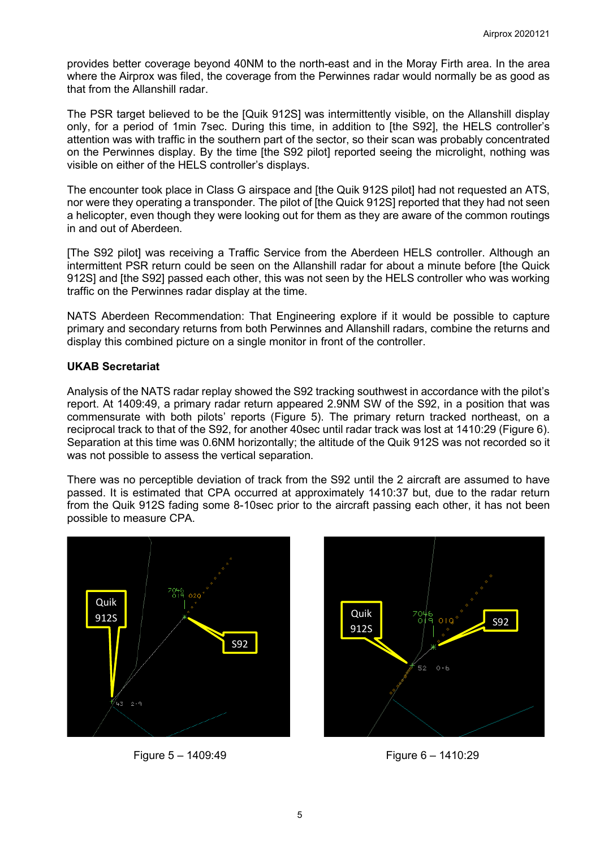provides better coverage beyond 40NM to the north-east and in the Moray Firth area. In the area where the Airprox was filed, the coverage from the Perwinnes radar would normally be as good as that from the Allanshill radar.

The PSR target believed to be the [Quik 912S] was intermittently visible, on the Allanshill display only, for a period of 1min 7sec. During this time, in addition to [the S92], the HELS controller's attention was with traffic in the southern part of the sector, so their scan was probably concentrated on the Perwinnes display. By the time [the S92 pilot] reported seeing the microlight, nothing was visible on either of the HELS controller's displays.

The encounter took place in Class G airspace and [the Quik 912S pilot] had not requested an ATS, nor were they operating a transponder. The pilot of [the Quick 912S] reported that they had not seen a helicopter, even though they were looking out for them as they are aware of the common routings in and out of Aberdeen.

[The S92 pilot] was receiving a Traffic Service from the Aberdeen HELS controller. Although an intermittent PSR return could be seen on the Allanshill radar for about a minute before [the Quick 912S] and [the S92] passed each other, this was not seen by the HELS controller who was working traffic on the Perwinnes radar display at the time.

NATS Aberdeen Recommendation: That Engineering explore if it would be possible to capture primary and secondary returns from both Perwinnes and Allanshill radars, combine the returns and display this combined picture on a single monitor in front of the controller.

#### **UKAB Secretariat**

Analysis of the NATS radar replay showed the S92 tracking southwest in accordance with the pilot's report. At 1409:49, a primary radar return appeared 2.9NM SW of the S92, in a position that was commensurate with both pilots' reports (Figure 5). The primary return tracked northeast, on a reciprocal track to that of the S92, for another 40sec until radar track was lost at 1410:29 (Figure 6). Separation at this time was 0.6NM horizontally; the altitude of the Quik 912S was not recorded so it was not possible to assess the vertical separation.

There was no perceptible deviation of track from the S92 until the 2 aircraft are assumed to have passed. It is estimated that CPA occurred at approximately 1410:37 but, due to the radar return from the Quik 912S fading some 8-10sec prior to the aircraft passing each other, it has not been possible to measure CPA.



Figure 5 – 1409:49 Figure 6 – 1410:29

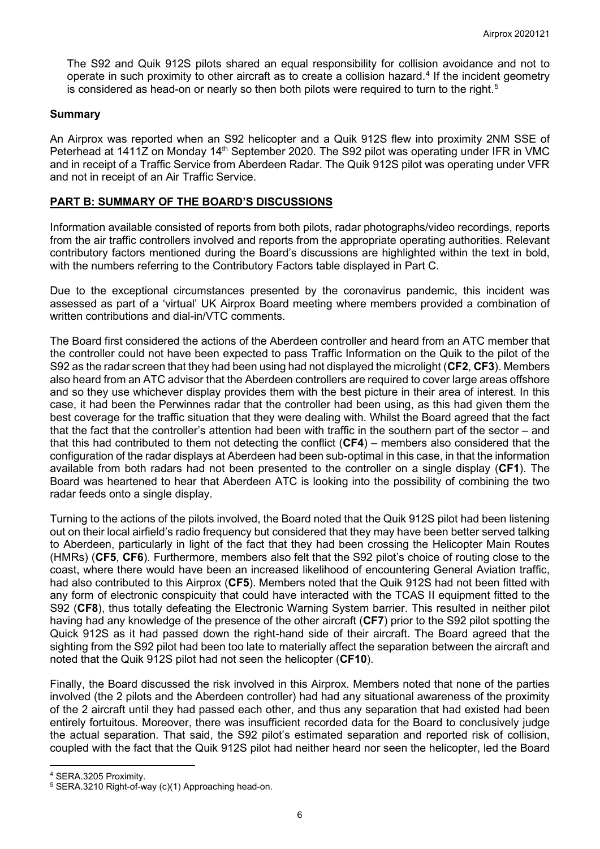The S92 and Quik 912S pilots shared an equal responsibility for collision avoidance and not to operate in such proximity to other aircraft as to create a collision hazard. [4](#page-5-0) If the incident geometry is considered as head-on or nearly so then both pilots were required to turn to the right. $^{\rm 5}$  $^{\rm 5}$  $^{\rm 5}$ 

### **Summary**

An Airprox was reported when an S92 helicopter and a Quik 912S flew into proximity 2NM SSE of Peterhead at 1411Z on Monday 14<sup>th</sup> September 2020. The S92 pilot was operating under IFR in VMC and in receipt of a Traffic Service from Aberdeen Radar. The Quik 912S pilot was operating under VFR and not in receipt of an Air Traffic Service.

### **PART B: SUMMARY OF THE BOARD'S DISCUSSIONS**

Information available consisted of reports from both pilots, radar photographs/video recordings, reports from the air traffic controllers involved and reports from the appropriate operating authorities. Relevant contributory factors mentioned during the Board's discussions are highlighted within the text in bold, with the numbers referring to the Contributory Factors table displayed in Part C.

Due to the exceptional circumstances presented by the coronavirus pandemic, this incident was assessed as part of a 'virtual' UK Airprox Board meeting where members provided a combination of written contributions and dial-in/VTC comments.

The Board first considered the actions of the Aberdeen controller and heard from an ATC member that the controller could not have been expected to pass Traffic Information on the Quik to the pilot of the S92 as the radar screen that they had been using had not displayed the microlight (**CF2**, **CF3**). Members also heard from an ATC advisor that the Aberdeen controllers are required to cover large areas offshore and so they use whichever display provides them with the best picture in their area of interest. In this case, it had been the Perwinnes radar that the controller had been using, as this had given them the best coverage for the traffic situation that they were dealing with. Whilst the Board agreed that the fact that the fact that the controller's attention had been with traffic in the southern part of the sector – and that this had contributed to them not detecting the conflict (**CF4**) – members also considered that the configuration of the radar displays at Aberdeen had been sub-optimal in this case, in that the information available from both radars had not been presented to the controller on a single display (**CF1**). The Board was heartened to hear that Aberdeen ATC is looking into the possibility of combining the two radar feeds onto a single display.

Turning to the actions of the pilots involved, the Board noted that the Quik 912S pilot had been listening out on their local airfield's radio frequency but considered that they may have been better served talking to Aberdeen, particularly in light of the fact that they had been crossing the Helicopter Main Routes (HMRs) (**CF5**, **CF6**). Furthermore, members also felt that the S92 pilot's choice of routing close to the coast, where there would have been an increased likelihood of encountering General Aviation traffic, had also contributed to this Airprox (**CF5**). Members noted that the Quik 912S had not been fitted with any form of electronic conspicuity that could have interacted with the TCAS II equipment fitted to the S92 (**CF8**), thus totally defeating the Electronic Warning System barrier. This resulted in neither pilot having had any knowledge of the presence of the other aircraft (**CF7**) prior to the S92 pilot spotting the Quick 912S as it had passed down the right-hand side of their aircraft. The Board agreed that the sighting from the S92 pilot had been too late to materially affect the separation between the aircraft and noted that the Quik 912S pilot had not seen the helicopter (**CF10**).

Finally, the Board discussed the risk involved in this Airprox. Members noted that none of the parties involved (the 2 pilots and the Aberdeen controller) had had any situational awareness of the proximity of the 2 aircraft until they had passed each other, and thus any separation that had existed had been entirely fortuitous. Moreover, there was insufficient recorded data for the Board to conclusively judge the actual separation. That said, the S92 pilot's estimated separation and reported risk of collision, coupled with the fact that the Quik 912S pilot had neither heard nor seen the helicopter, led the Board

<span id="page-5-0"></span><sup>4</sup> SERA.3205 Proximity.

<span id="page-5-1"></span><sup>5</sup> SERA.3210 Right-of-way (c)(1) Approaching head-on.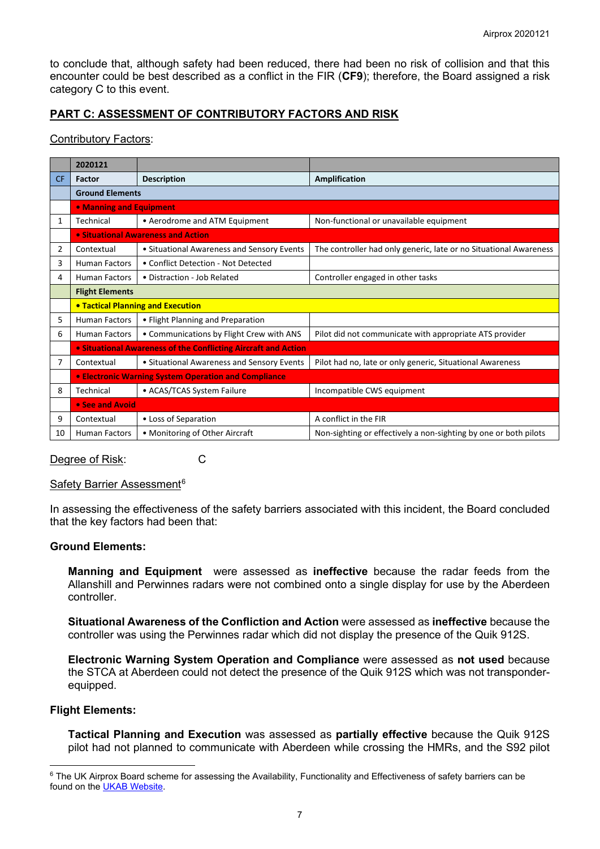to conclude that, although safety had been reduced, there had been no risk of collision and that this encounter could be best described as a conflict in the FIR (**CF9**); therefore, the Board assigned a risk category C to this event.

# **PART C: ASSESSMENT OF CONTRIBUTORY FACTORS AND RISK**

#### Contributory Factors:

|           | 2020121                                                     |                                                                          |                                                                   |  |  |  |  |  |  |  |  |
|-----------|-------------------------------------------------------------|--------------------------------------------------------------------------|-------------------------------------------------------------------|--|--|--|--|--|--|--|--|
| <b>CF</b> | <b>Factor</b>                                               | <b>Description</b>                                                       | Amplification                                                     |  |  |  |  |  |  |  |  |
|           | <b>Ground Elements</b>                                      |                                                                          |                                                                   |  |  |  |  |  |  |  |  |
|           |                                                             | • Manning and Equipment                                                  |                                                                   |  |  |  |  |  |  |  |  |
| 1         | Technical                                                   | • Aerodrome and ATM Equipment<br>Non-functional or unavailable equipment |                                                                   |  |  |  |  |  |  |  |  |
|           |                                                             | • Situational Awareness and Action                                       |                                                                   |  |  |  |  |  |  |  |  |
| 2         | Contextual                                                  | • Situational Awareness and Sensory Events                               | The controller had only generic, late or no Situational Awareness |  |  |  |  |  |  |  |  |
| 3         | <b>Human Factors</b>                                        | • Conflict Detection - Not Detected                                      |                                                                   |  |  |  |  |  |  |  |  |
| 4         | <b>Human Factors</b>                                        | • Distraction - Job Related<br>Controller engaged in other tasks         |                                                                   |  |  |  |  |  |  |  |  |
|           | <b>Flight Elements</b>                                      |                                                                          |                                                                   |  |  |  |  |  |  |  |  |
|           |                                                             | <b>• Tactical Planning and Execution</b>                                 |                                                                   |  |  |  |  |  |  |  |  |
| 5         | <b>Human Factors</b>                                        | • Flight Planning and Preparation                                        |                                                                   |  |  |  |  |  |  |  |  |
| 6         | <b>Human Factors</b>                                        | • Communications by Flight Crew with ANS                                 | Pilot did not communicate with appropriate ATS provider           |  |  |  |  |  |  |  |  |
|           |                                                             | • Situational Awareness of the Conflicting Aircraft and Action           |                                                                   |  |  |  |  |  |  |  |  |
| 7         | Contextual                                                  | • Situational Awareness and Sensory Events                               | Pilot had no, late or only generic, Situational Awareness         |  |  |  |  |  |  |  |  |
|           | <b>• Electronic Warning System Operation and Compliance</b> |                                                                          |                                                                   |  |  |  |  |  |  |  |  |
| 8         | Technical                                                   | • ACAS/TCAS System Failure                                               | Incompatible CWS equipment                                        |  |  |  |  |  |  |  |  |
|           | • See and Avoid                                             |                                                                          |                                                                   |  |  |  |  |  |  |  |  |
| 9         | Contextual                                                  | • Loss of Separation                                                     | A conflict in the FIR                                             |  |  |  |  |  |  |  |  |
| 10        | <b>Human Factors</b>                                        | • Monitoring of Other Aircraft                                           | Non-sighting or effectively a non-sighting by one or both pilots  |  |  |  |  |  |  |  |  |

Degree of Risk: C

## Safety Barrier Assessment<sup>[6](#page-6-0)</sup>

In assessing the effectiveness of the safety barriers associated with this incident, the Board concluded that the key factors had been that:

## **Ground Elements:**

**Manning and Equipment** were assessed as **ineffective** because the radar feeds from the Allanshill and Perwinnes radars were not combined onto a single display for use by the Aberdeen controller.

**Situational Awareness of the Confliction and Action** were assessed as **ineffective** because the controller was using the Perwinnes radar which did not display the presence of the Quik 912S.

**Electronic Warning System Operation and Compliance** were assessed as **not used** because the STCA at Aberdeen could not detect the presence of the Quik 912S which was not transponderequipped.

#### **Flight Elements:**

**Tactical Planning and Execution** was assessed as **partially effective** because the Quik 912S pilot had not planned to communicate with Aberdeen while crossing the HMRs, and the S92 pilot

<span id="page-6-0"></span><sup>&</sup>lt;sup>6</sup> The UK Airprox Board scheme for assessing the Availability, Functionality and Effectiveness of safety barriers can be found on the [UKAB Website.](http://www.airproxboard.org.uk/Learn-more/Airprox-Barrier-Assessment/)